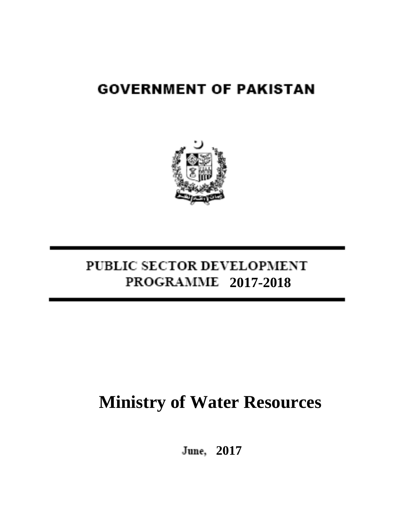## **GOVERNMENT OF PAKISTAN**



## PUBLIC SECTOR DEVELOPMENT **2017-2018**

# **Ministry of Water Resources**

**2017**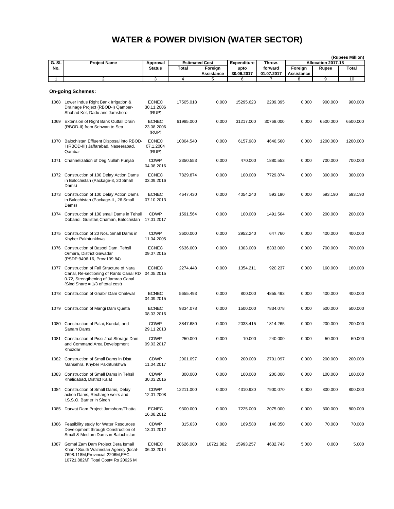|               |                                                                                                                                                                    |                                     |                                |            |                    |                   |            |                    | (Rupees Million) |
|---------------|--------------------------------------------------------------------------------------------------------------------------------------------------------------------|-------------------------------------|--------------------------------|------------|--------------------|-------------------|------------|--------------------|------------------|
| G. SI.<br>No. | <b>Project Name</b>                                                                                                                                                | Approval<br><b>Status</b>           | <b>Estimated Cost</b><br>Total | Foreign    | <b>Expenditure</b> | Throw-<br>forward | Foreign    | Allocation 2017-18 | Total            |
|               |                                                                                                                                                                    |                                     |                                | Assistance | upto<br>30.06.2017 | 01.07.2017        | Assistance | Rupee              |                  |
| $\mathbf{1}$  | $\overline{2}$                                                                                                                                                     | 3                                   | 4                              | 5          | 6                  | $\overline{7}$    | 8          | 9                  | 10               |
|               |                                                                                                                                                                    |                                     |                                |            |                    |                   |            |                    |                  |
|               | <b>On-going Schemes:</b>                                                                                                                                           |                                     |                                |            |                    |                   |            |                    |                  |
|               | 1068 Lower Indus Right Bank Irrigation &<br>Drainage Project (RBOD-I) Qamber-<br>Shahad Kot. Dadu and Jamshoro                                                     | <b>ECNEC</b><br>30.11.2006<br>(RUP) | 17505.018                      | 0.000      | 15295.623          | 2209.395          | 0.000      | 900.000            | 900.000          |
|               | 1069 Extension of Right Bank Outfall Drain<br>(RBOD-II) from Sehwan to Sea                                                                                         | <b>ECNEC</b><br>23.08.2006<br>(RUP) | 61985.000                      | 0.000      | 31217.000          | 30768.000         | 0.000      | 6500.000           | 6500.000         |
|               | 1070 Balochistan Effluent Disposal into RBOD-<br>I (RBOD-III) Jaffarabad, Naseerabad,<br>Qambar                                                                    | <b>ECNEC</b><br>07.1.2004<br>(RUP)  | 10804.540                      | 0.000      | 6157.980           | 4646.560          | 0.000      | 1200.000           | 1200.000         |
| 1071          | Channelization of Deg Nullah Punjab                                                                                                                                | <b>CDWP</b><br>04.08.2016           | 2350.553                       | 0.000      | 470.000            | 1880.553          | 0.000      | 700.000            | 700.000          |
|               | 1072 Construction of 100 Delay Action Dams<br>in Balochistan (Package-3, 20 Small<br>Dams)                                                                         | <b>ECNEC</b><br>03.09.2016          | 7829.874                       | 0.000      | 100.000            | 7729.874          | 0.000      | 300.000            | 300.000          |
|               | 1073 Construction of 100 Delay Action Dams<br>in Balochistan (Package-II, 26 Small<br>Dams)                                                                        | <b>ECNEC</b><br>07.10.2013          | 4647.430                       | 0.000      | 4054.240           | 593.190           | 0.000      | 593.190            | 593.190          |
|               | 1074 Construction of 100 small Dams in Tehsil<br>Dobandi, Gulistan, Chaman, Balochistan                                                                            | <b>CDWP</b><br>17.01.2017           | 1591.564                       | 0.000      | 100.000            | 1491.564          | 0.000      | 200.000            | 200.000          |
|               | 1075 Construction of 20 Nos. Small Dams in<br>Khyber Pakhtunkhwa                                                                                                   | <b>CDWP</b><br>11.04.2005           | 3600.000                       | 0.000      | 2952.240           | 647.760           | 0.000      | 400.000            | 400.000          |
|               | 1076 Construction of Basool Dam, Tehsil<br>Ormara, District Gawadar<br>(PSDP:9496.16. Prov:139.84)                                                                 | <b>ECNEC</b><br>09.07.2015          | 9636.000                       | 0.000      | 1303.000           | 8333.000          | 0.000      | 700.000            | 700.000          |
|               | 1077 Construction of Fall Structure of Nara<br>Canal, Re-sectioning of Ranto Canal RD<br>0-72, Strengthening of Jamrao Canal<br>$(Sind Share = 1/3 of total cost)$ | <b>ECNEC</b><br>04.05.2015          | 2274.448                       | 0.000      | 1354.211           | 920.237           | 0.000      | 160.000            | 160.000          |
| 1078          | Construction of Ghabir Dam Chakwal                                                                                                                                 | <b>ECNEC</b><br>04.09.2015          | 5655.493                       | 0.000      | 800.000            | 4855.493          | 0.000      | 400.000            | 400.000          |
| 1079          | Construction of Mangi Dam Quetta                                                                                                                                   | <b>ECNEC</b><br>08.03.2016          | 9334.078                       | 0.000      | 1500.000           | 7834.078          | 0.000      | 500.000            | 500.000          |
| 1080          | Construction of Palai, Kundal, and<br>Sanam Dams.                                                                                                                  | <b>CDWP</b><br>29.11.2013           | 3847.680                       | 0.000      | 2033.415           | 1814.265          | 0.000      | 200.000            | 200.000          |
|               | 1081 Construction of Pissi Jhal Storage Dam<br>and Command Area Development<br>Khuzdar                                                                             | <b>CDWP</b><br>09.03.2017           | 250.000                        | 0.000      | 10.000             | 240.000           | 0.000      | 50.000             | 50.000           |
|               | 1082 Construction of Small Dams in Distt<br>Mansehra, Khyber Pakhtunkhwa                                                                                           | <b>CDWP</b><br>11.04.2017           | 2901.097                       | 0.000      | 200.000            | 2701.097          | 0.000      | 200.000            | 200.000          |
|               | 1083 Construction of Small Dams in Tehsil<br>Khaligabad, District Kalat                                                                                            | <b>CDWP</b><br>30.03.2016           | 300.000                        | 0.000      | 100.000            | 200.000           | 0.000      | 100.000            | 100.000          |
|               | 1084 Construction of Small Dams, Delay<br>action Dams, Recharge weirs and<br>I.S.S.O. Barrier in Sindh                                                             | <b>CDWP</b><br>12.01.2008           | 12211.000                      | 0.000      | 4310.930           | 7900.070          | 0.000      | 800.000            | 800.000          |
|               | 1085 Darwat Dam Project Jamshoro/Thatta                                                                                                                            | <b>ECNEC</b><br>16.08.2012          | 9300.000                       | 0.000      | 7225.000           | 2075.000          | 0.000      | 800.000            | 800.000          |
| 1086          | Feasibility study for Water Resources<br>Development through Construction of<br>Small & Medium Dams in Balochistan                                                 | <b>CDWP</b><br>13.01.2012           | 315.630                        | 0.000      | 169.580            | 146.050           | 0.000      | 70.000             | 70.000           |
| 1087          | Gomal Zam Dam Project Dera Ismail<br>Khan / South Waziristan Agency.(local-<br>7698.118M, Provincial-2206M, FEC-<br>10721.882M) Total Cost= Rs 20626 M             | <b>ECNEC</b><br>06.03.2014          | 20626.000                      | 10721.882  | 15993.257          | 4632.743          | 5.000      | 0.000              | 5.000            |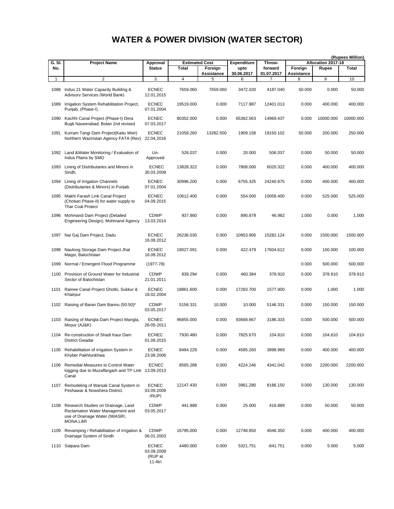|               |                                                                                                                            |                                                            |                                |            |                            |                   |            |                             | (Rupees Million) |
|---------------|----------------------------------------------------------------------------------------------------------------------------|------------------------------------------------------------|--------------------------------|------------|----------------------------|-------------------|------------|-----------------------------|------------------|
| G. SI.<br>No. | <b>Project Name</b>                                                                                                        | Approval<br><b>Status</b>                                  | <b>Estimated Cost</b><br>Total | Foreign    | <b>Expenditure</b><br>upto | Throw-<br>forward | Foreign    | Allocation 2017-18<br>Rupee | <b>Total</b>     |
|               |                                                                                                                            |                                                            |                                | Assistance | 30.06.2017                 | 01.07.2017        | Assistance |                             |                  |
| 1             | 2                                                                                                                          | 3                                                          | 4                              | 5          | 6                          | 7                 | 8          | 9                           | 10               |
|               | 1088 Indus 21 Water Capacity Building &<br>Advisory Services (World Bank)                                                  | <b>ECNEC</b><br>12.01.2015                                 | 7659.060                       | 7659.060   | 3472.020                   | 4187.040          | 50.000     | 0.000                       | 50.000           |
|               | 1089 Irrigation System Rehabilitation Project,<br>Punjab, (Phase-I).                                                       | <b>ECNEC</b><br>07.01.2004                                 | 19519.000                      | 0.000      | 7117.987                   | 12401.013         | 0.000      | 400.000                     | 400.000          |
| 1090          | Kachhi Canal Project (Phase-I) Dera<br>Bugti Naseerabad, Bolan 2nd revised                                                 | <b>ECNEC</b><br>07.03.2017                                 | 80352.000                      | 0.000      | 65382.563                  | 14969.437         | 0.000      | 10000.000                   | 10000.000        |
|               | 1091 Kurram Tangi Dam Project (Kaitu Weir)<br>Northern Waziristan Agency FATA (Rev)                                        | <b>ECNEC</b><br>22.04.2016                                 | 21059.260                      | 13282.500  | 1909.158                   | 19150.102         | 50.000     | 200.000                     | 250.000          |
|               | 1092 Land & Water Monitoring / Evaluation of<br>Indus Plains by SMO                                                        | Un-<br>Approved                                            | 526.037                        | 0.000      | 20.000                     | 506.037           | 0.000      | 50.000                      | 50.000           |
|               | 1093 Lining of Distributaries and Minors in<br>Sindh.                                                                      | <b>ECNEC</b><br>30.03.2009                                 | 13828.322                      | 0.000      | 7808.000                   | 6020.322          | 0.000      | 400.000                     | 400.000          |
|               | 1094 Lining of Irrigation Channels<br>(Distributaries & Minors) in Puniab.                                                 | <b>ECNEC</b><br>07.01.2004                                 | 30996.200                      | 0.000      | 6755.325                   | 24240.875         | 0.000      | 400.000                     | 400.000          |
| 1095          | Makhi Farash Link Canal Project<br>(Chotiari Phase-II) for water supply to<br><b>Thar Coal Project</b>                     | <b>ECNEC</b><br>04.09.2015                                 | 10612.400                      | 0.000      | 554.000                    | 10058.400         | 0.000      | 525.000                     | 525.000          |
|               | 1096 Mohmand Dam Project (Detailed<br>Engineering Design), Mohmand Agency                                                  | <b>CDWP</b><br>13.03.2014                                  | 937.860                        | 0.000      | 890.878                    | 46.982            | 1.000      | 0.000                       | 1.000            |
| 1097          | Nai Gaj Dam Project, Dadu                                                                                                  | <b>ECNEC</b><br>16.08.2012                                 | 26236.030                      | 0.000      | 10953.906                  | 15282.124         | 0.000      | 1500.000                    | 1500.000         |
| 1098          | Naulong Storage Dam Project Jhal<br>Magsi, Balochistan                                                                     | <b>ECNEC</b><br>16.08.2012                                 | 18027.091                      | 0.000      | 422.479                    | 17604.612         | 0.000      | 100.000                     | 100.000          |
| 1099          | Normal / Emergent Flood Programme                                                                                          | $(1977 - 78)$                                              |                                |            |                            |                   | 0.000      | 500.000                     | 500.000          |
|               | 1100 Provision of Ground Water for Industrial<br>Sector of Balochistan                                                     | <b>CDWP</b><br>21.01.2011                                  | 839.294                        | 0.000      | 460.384                    | 378.910           | 0.000      | 378.910                     | 378.910          |
| 1101          | Rainee Canal Project Ghotki, Sukkur &<br>Khairpur                                                                          | <b>ECNEC</b><br>18.02.2004                                 | 18861.600                      | 0.000      | 17283.700                  | 1577.900          | 0.000      | 1.000                       | 1.000            |
|               | 1102 Raising of Baran Dam Bannu (50:50)*                                                                                   | <b>CDWP</b><br>03.05.2017                                  | 5156.331                       | 10.000     | 10.000                     | 5146.331          | 0.000      | 150.000                     | 150.000          |
|               | 1103 Raising of Mangla Dam Project Mangla,<br>Mirpur (AJ&K)                                                                | <b>ECNEC</b><br>26-05-2011                                 | 96855.000                      | 0.000      | 93668.667                  | 3186.333          | 0.000      | 500.000                     | 500.000          |
| 1104          | Re-construction of Shadi Kaur Dam<br><b>District Gwadar</b>                                                                | <b>ECNEC</b><br>01.09.2015                                 | 7930.480                       | 0.000      | 7825.670                   | 104.810           | 0.000      | 104.810                     | 104.810          |
|               | 1105 Rehabilitation of irrigation System in<br>Khyber Pakhtunkhwa                                                          | <b>ECNEC</b><br>23.08.2006                                 | 8484.229                       | 0.000      | 4585.260                   | 3898.969          | 0.000      | 400.000                     | 400.000          |
| 1106          | <b>Remedial Measures to Control Water</b><br>logging due to Muzaffargarh and TP Link 13.09.2013<br>Canal                   | <b>ECNEC</b>                                               | 8565.288                       | 0.000      | 4224.246                   | 4341.042          | 0.000      | 2200.000                    | 2200.000         |
|               | 1107 Remodeling of Warsak Canal System in<br>Peshawar & Nowshera District.                                                 | <b>ECNEC</b><br>03.09.2009<br>(RUP)                        | 12147.430                      | 0.000      | 3961.280                   | 8186.150          | 0.000      | 130.000                     | 130.000          |
|               | 1108 Research Studies on Drainage, Land<br>Reclamation Water Management and<br>use of Drainage Water (IWASRI,<br>MONA.LIM) | CDWP<br>03.05.2017                                         | 441.889                        | 0.000      | 25.000                     | 416.889           | 0.000      | 50.000                      | 50.000           |
| 1109          | Revamping / Rehabilitation of Irrigation &<br>Drainage System of Sindh                                                     | <b>CDWP</b><br>06.01.2003                                  | 16795.000                      | 0.000      | 12748.650                  | 4046.350          | 0.000      | 400.000                     | 400.000          |
|               | 1110 Satpara Dam                                                                                                           | <b>ECNEC</b><br>03.09.2009<br>(RUP at<br>11.4 <sub>b</sub> | 4480.000                       | 0.000      | 5321.751                   | -841.751          | 0.000      | 5.000                       | 5.000            |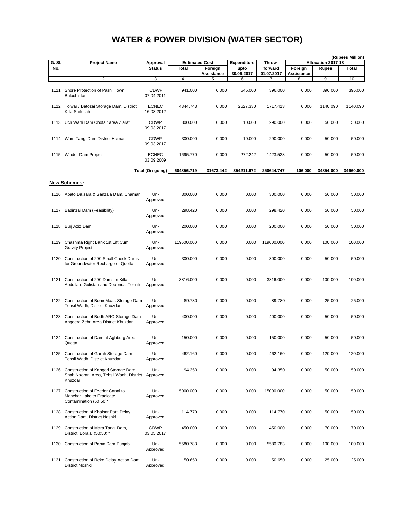| G. SI.       | <b>Project Name</b>                                                                             |                            | <b>Estimated Cost</b> |                 | <b>Expenditure</b> | Throw-          |                 | Allocation 2017-18 | (Rupees Million) |
|--------------|-------------------------------------------------------------------------------------------------|----------------------------|-----------------------|-----------------|--------------------|-----------------|-----------------|--------------------|------------------|
| No.          |                                                                                                 | Approval<br><b>Status</b>  | Total                 | Foreign         | upto               | forward         | Foreign         | Rupee              | Total            |
| $\mathbf{1}$ | $\overline{2}$                                                                                  | 3                          | $\overline{4}$        | Assistance<br>5 | 30.06.2017<br>6    | 01.07.2017<br>7 | Assistance<br>8 | 9                  | 10               |
|              |                                                                                                 |                            |                       |                 |                    |                 |                 |                    |                  |
| 1111         | Shore Protection of Pasni Town<br>Balochistan                                                   | <b>CDWP</b><br>07.04.2011  | 941.000               | 0.000           | 545.000            | 396.000         | 0.000           | 396.000            | 396.000          |
|              | 1112 Toiwar / Batozai Storage Dam, District<br>Killa Saifullah                                  | <b>ECNEC</b><br>16.08.2012 | 4344.743              | 0.000           | 2627.330           | 1717.413        | 0.000           | 1140.090           | 1140.090         |
|              | 1113 Uch Wani Dam Chotair area Ziarat                                                           | CDWP<br>09.03.2017         | 300.000               | 0.000           | 10.000             | 290.000         | 0.000           | 50.000             | 50.000           |
|              | 1114 Wam Tangi Dam District Harnai                                                              | <b>CDWP</b><br>09.03.2017  | 300.000               | 0.000           | 10.000             | 290.000         | 0.000           | 50.000             | 50.000           |
|              | 1115 Winder Dam Project                                                                         | <b>ECNEC</b><br>03.09.2009 | 1695.770              | 0.000           | 272.242            | 1423.528        | 0.000           | 50.000             | 50.000           |
|              |                                                                                                 | Total (On-going)           | 604856.719            | 31673.442       | 354211.972         | 250644.747      | 106.000         | 34854.000          | 34960.000        |
|              |                                                                                                 |                            |                       |                 |                    |                 |                 |                    |                  |
|              | <b>New Schemes:</b>                                                                             |                            |                       |                 |                    |                 |                 |                    |                  |
|              | 1116 Abato Daisara & Sanzala Dam, Chaman                                                        | Un-<br>Approved            | 300.000               | 0.000           | 0.000              | 300.000         | 0.000           | 50.000             | 50.000           |
|              | 1117 Badinzai Dam (Feasibility)                                                                 | Un-<br>Approved            | 298.420               | 0.000           | 0.000              | 298.420         | 0.000           | 50.000             | 50.000           |
| 1118         | Burj Aziz Dam                                                                                   | Un-<br>Approved            | 200.000               | 0.000           | 0.000              | 200.000         | 0.000           | 50.000             | 50.000           |
|              | 1119 Chashma Right Bank 1st Lift Cum<br><b>Gravity Project</b>                                  | Un-<br>Approved            | 119600.000            | 0.000           | 0.000              | 119600.000      | 0.000           | 100.000            | 100.000          |
|              | 1120 Construction of 200 Small Check Dams<br>for Groundwater Recharge of Quetta                 | Un-<br>Approved            | 300.000               | 0.000           | 0.000              | 300.000         | 0.000           | 50.000             | 50.000           |
| 1121         | Construction of 200 Dams in Killa<br>Abdullah, Gulistan and Deobndai Tehsils                    | Un-<br>Approved            | 3816.000              | 0.000           | 0.000              | 3816.000        | 0.000           | 100.000            | 100.000          |
|              | 1122 Construction of Bohir Maas Storage Dam<br>Tehsil Wadh, District Khuzdar                    | Un-<br>Approved            | 89.780                | 0.000           | 0.000              | 89.780          | 0.000           | 25.000             | 25.000           |
|              | 1123 Construction of Bodh ARO Storage Dam<br>Angeera Zehri Area District Khuzdar                | Un-<br>Approved            | 400.000               | 0.000           | 0.000              | 400.000         | 0.000           | 50.000             | 50.000           |
|              | 1124 Construction of Dam at Aghburg Area<br>Quetta                                              | Un-<br>Approved            | 150.000               | 0.000           | 0.000              | 150.000         | 0.000           | 50.000             | 50.000           |
|              | 1125 Construction of Garah Storage Dam<br>Tehsil Wadh, District Khuzdar                         | Un-<br>Approved            | 462.160               | 0.000           | 0.000              | 462.160         | 0.000           | 120.000            | 120.000          |
|              | 1126 Construction of Kangori Storage Dam<br>Shah Noorani Area, Tehsil Wadh, District<br>Khuzdar | Un-<br>Approved            | 94.350                | 0.000           | 0.000              | 94.350          | 0.000           | 50.000             | 50.000           |
|              | 1127 Construction of Feeder Canal to<br>Manchar Lake to Eradicate<br>Contamination (50:50)*     | Un-<br>Approved            | 15000.000             | 0.000           | 0.000              | 15000.000       | 0.000           | 50.000             | 50.000           |
|              | 1128 Construction of Khaisar Patti Delay<br>Action Dam, District Noshki                         | Un-<br>Approved            | 114.770               | 0.000           | 0.000              | 114.770         | 0.000           | 50.000             | 50.000           |
|              | 1129 Construction of Mara Tangi Dam,<br>District, Loralai (50:50) *                             | <b>CDWP</b><br>03.05.2017  | 450.000               | 0.000           | 0.000              | 450.000         | 0.000           | 70.000             | 70.000           |
|              | 1130 Construction of Papin Dam Punjab                                                           | Un-<br>Approved            | 5580.783              | 0.000           | 0.000              | 5580.783        | 0.000           | 100.000            | 100.000          |
|              | 1131 Construction of Reko Delay Action Dam,<br>District Noshki                                  | Un-<br>Approved            | 50.650                | 0.000           | 0.000              | 50.650          | 0.000           | 25.000             | 25.000           |